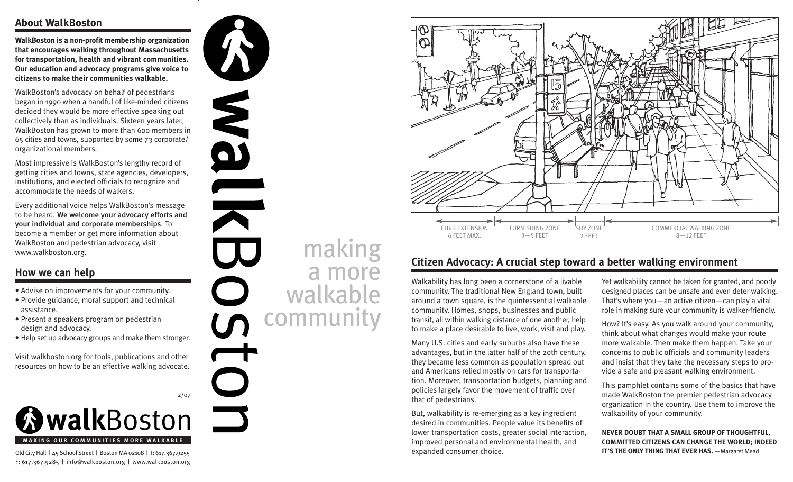### **About WalkBoston**

**WalkBoston is a non-profit membership organization that encourages walking throughout Massachusetts for transportation, health and vibrant communities. Our education and advocacy programs give voice to citizens to make their communities walkable.**

WalkBoston's advocacy on behalf of pedestrians began in 1990 when a handful of like-minded citizens decided they would be more effective speaking out collectively than as individuals. Sixteen years later, WalkBoston has grown to more than 600 members in 65 cities and towns, supported by some 73 corporate/ organizational members.

Most impressive is WalkBoston's lengthy record of getting cities and towns, state agencies, developers, institutions, and elected officials to recognize and accommodate the needs of walkers.

Every additional voice helps WalkBoston's message to be heard. We welcome your advocacy efforts and your individual and corporate memberships. To become a member or get more information about WalkBoston and pedestrian advocacy, visit www.walkboston.org.

# **How we can help**

- Advise on improvements for your community.
- Provide guidance, moral support and technical assistance.
- Present a speakers program on pedestrian design and advocacy.
- Help set up advocacy groups and make them stronger.

Visit walkboston.org for tools, publications and other resources on how to be an effective walking advocate.





F: 617.367.9285 | info@walkboston.org | www.walkboston.org



**SAN** 





# **Citizen Advocacy: A crucial step toward a better walking environment**

Walkability has long been a cornerstone of a livable community. The traditional New England town, built around a town square, is the quintessential walkable community. Homes, shops, businesses and public transit, all within walking distance of one another, help to make a place desirable to live, work, visit and play.

Many U.S. cities and early suburbs also have these advantages, but in the latter half of the 2oth century, they became less common as population spread out and Americans relied mostly on cars for transportation. Moreover, transportation budgets, planning and policies largely favor the movement of traffic over that of pedestrians.

But, walkability is re-emerging as a key ingredient desired in communities. People value its benefits of lower transportation costs, greater social interaction, improved personal and environmental health, and expanded consumer choice. Old City Hall | 45 School Street | Boston MA 02108 | T: 617.367.9255 **IT'S THE ONLY THING THAT EVER HAS.** —Margaret Mead

Yet walkability cannot be taken for granted, and poorly designed places can be unsafe and even deter walking. That's where you—an active citizen—can play a vital role in making sure your community is walker-friendly.

How? It's easy. As you walk around your community, think about what changes would make your route more walkable. Then make them happen. Take your concerns to public officials and community leaders and insist that they take the necessary steps to provide a safe and pleasant walking environment.

This pamphlet contains some of the basics that have made WalkBoston the premier pedestrian advocacy organization in the country. Use them to improve the walkability of your community.

**NEVER DOUBT THAT A SMALL GROUP OF THOUGHTFUL, COMMITTED CITIZENS CAN CHANGE THE WORLD; INDEED**